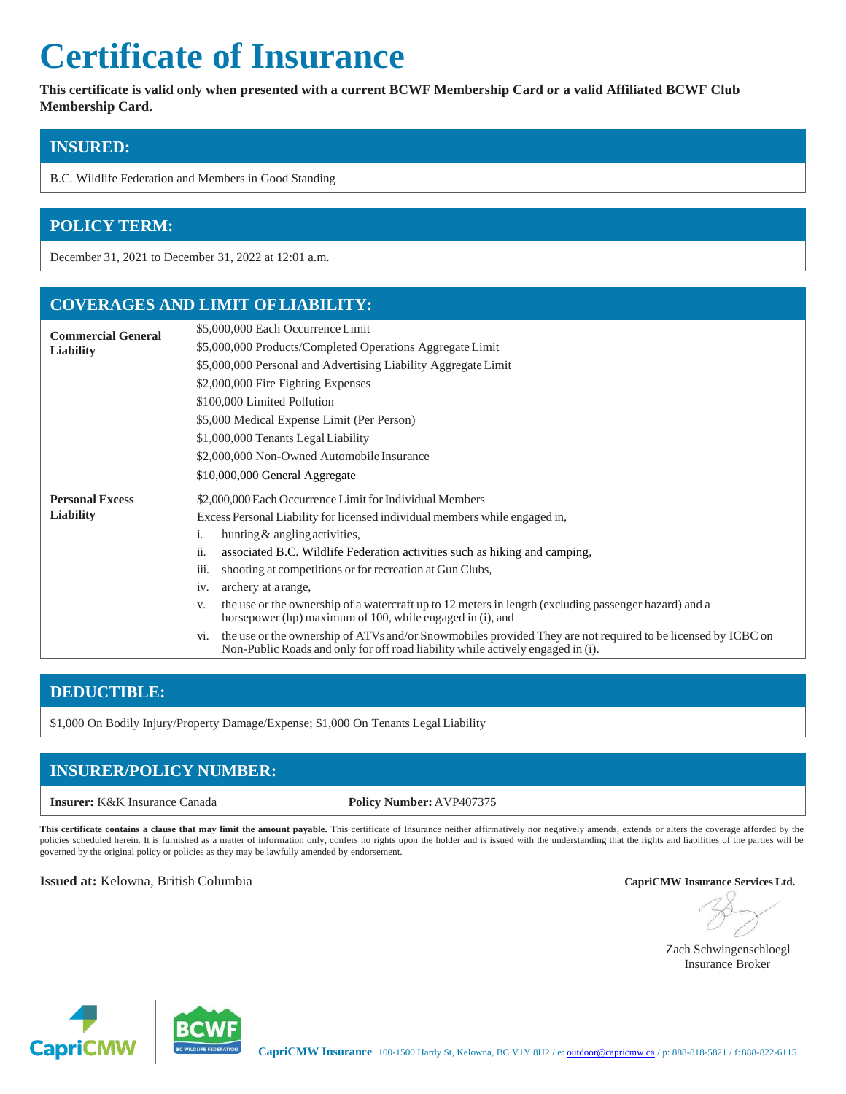# **Certificate of Insurance**

**This certificate is valid only when presented with a current BCWF Membership Card or a valid Affiliated BCWF Club Membership Card.**

# **INSURED:**

B.C. Wildlife Federation and Members in Good Standing

# **POLICY TERM:**

December 31, 2021 to December 31, 2022 at 12:01 a.m.

## **COVERAGES AND LIMIT OFLIABILITY:**

| <b>Commercial General</b><br><b>Liability</b> | \$5,000,000 Each Occurrence Limit<br>\$5,000,000 Products/Completed Operations Aggregate Limit<br>\$5,000,000 Personal and Advertising Liability Aggregate Limit<br>\$2,000,000 Fire Fighting Expenses<br>\$100,000 Limited Pollution<br>\$5,000 Medical Expense Limit (Per Person)<br>\$1,000,000 Tenants Legal Liability                                                                                                                                                                                                                                                                                                                                                                                                                                 |
|-----------------------------------------------|------------------------------------------------------------------------------------------------------------------------------------------------------------------------------------------------------------------------------------------------------------------------------------------------------------------------------------------------------------------------------------------------------------------------------------------------------------------------------------------------------------------------------------------------------------------------------------------------------------------------------------------------------------------------------------------------------------------------------------------------------------|
|                                               | \$2,000,000 Non-Owned Automobile Insurance<br>\$10,000,000 General Aggregate                                                                                                                                                                                                                                                                                                                                                                                                                                                                                                                                                                                                                                                                               |
| <b>Personal Excess</b><br><b>Liability</b>    | \$2,000,000 Each Occurrence Limit for Individual Members<br>Excess Personal Liability for licensed individual members while engaged in,<br>hunting & angling activities,<br>1.<br>associated B.C. Wildlife Federation activities such as hiking and camping,<br>11.<br>shooting at competitions or for recreation at Gun Clubs,<br>111.<br>archery at arange,<br>1V.<br>the use or the ownership of a watercraft up to 12 meters in length (excluding passenger hazard) and a<br>V.<br>horsepower (hp) maximum of 100, while engaged in (i), and<br>the use or the ownership of ATVs and/or Snowmobiles provided They are not required to be licensed by ICBC on<br>V1.<br>Non-Public Roads and only for off road liability while actively engaged in (i). |

## **DEDUCTIBLE:**

\$1,000 On Bodily Injury/Property Damage/Expense; \$1,000 On Tenants Legal Liability

# **INSURER/POLICY NUMBER:**

**Insurer:** K&K Insurance Canada **Policy Number:** AVP407375

This certificate contains a clause that may limit the amount payable. This certificate of Insurance neither affirmatively nor negatively amends, extends or alters the coverage afforded by the policies scheduled herein. It is furnished as a matter of information only, confers no rights upon the holder and is issued with the understanding that the rights and liabilities of the parties will be governed by the original policy or policies as they may be lawfully amended by endorsement.

### **Issued at:** Kelowna, British Columbia **CapriCMW Insurance Services Ltd.**

 Zach Schwingenschloegl Insurance Broker